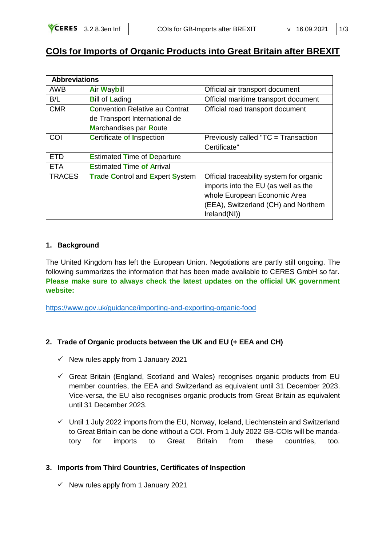## **COIs for Imports of Organic Products into Great Britain after BREXIT**

| <b>Abbreviations</b> |                                        |                                          |
|----------------------|----------------------------------------|------------------------------------------|
| <b>AWB</b>           | <b>Air Waybill</b>                     | Official air transport document          |
| B/L                  | <b>Bill of Lading</b>                  | Official maritime transport document     |
| <b>CMR</b>           | <b>Convention Relative au Contrat</b>  | Official road transport document         |
|                      | de Transport International de          |                                          |
|                      | <b>Marchandises par Route</b>          |                                          |
| COI                  | <b>Certificate of Inspection</b>       | Previously called "TC = Transaction      |
|                      |                                        | Certificate"                             |
| <b>ETD</b>           | <b>Estimated Time of Departure</b>     |                                          |
| <b>ETA</b>           | <b>Estimated Time of Arrival</b>       |                                          |
| <b>TRACES</b>        | <b>Trade Control and Expert System</b> | Official traceability system for organic |
|                      |                                        | imports into the EU (as well as the      |
|                      |                                        | whole European Economic Area             |
|                      |                                        | (EEA), Switzerland (CH) and Northern     |
|                      |                                        | Ireland(NI))                             |

## 1. Background

The United Kingdom has left the European Union. Negotiations are partly still ongoing. The following summarizes the information that has been made available to CERES GmbH so far. Please make sure to always check the latest updates on the official UK government website:

https://www.gov.uk/guidance/importing-and-exporting-organic-food

## 2. Trade of Organic products between the UK and EU (+ EEA and CH)

- $\checkmark$  New rules apply from 1 January 2021
- $\checkmark$  Great Britain (England, Scotland and Wales) recognises organic products from EU member countries, the EEA and Switzerland as equivalent until 31 December 2023. Vice-versa, the EU also recognises organic products from Great Britain as equivalent until 31 December 2023.
- √ Until 1 July 2022 imports from the EU, Norway, Iceland, Liechtenstein and Switzerland to Great Britain can be done without a COI. From 1 July 2022 GB-COIs will be mandatory for imports to Great **Britain** from these countries.  $\mathsf{too}$ .

## 3. Imports from Third Countries, Certificates of Inspection

 $\checkmark$  New rules apply from 1 January 2021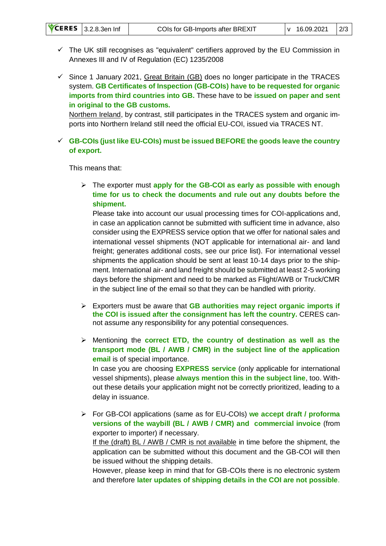- $\checkmark$  The UK still recognises as "equivalent" certifiers approved by the EU Commission in Annexes III and IV of Regulation (EC) 1235/2008
- $\checkmark$  Since 1 January 2021, Great Britain (GB) does no longer participate in the TRACES system. **GB Certificates of Inspection (GB-COIs) have to be requested for organic imports from third countries into GB.** These have to be **issued on paper and sent in original to the GB customs.**

Northern Ireland, by contrast, still participates in the TRACES system and organic imports into Northern Ireland still need the official EU-COI, issued via TRACES NT.

✓ **GB-COIs (just like EU-COIs) must be issued BEFORE the goods leave the country of export.**

This means that:

➢ The exporter must **apply for the GB-COI as early as possible with enough time for us to check the documents and rule out any doubts before the shipment.**

Please take into account our usual processing times for COI-applications and, in case an application cannot be submitted with sufficient time in advance, also consider using the EXPRESS service option that we offer for national sales and international vessel shipments (NOT applicable for international air- and land freight; generates additional costs, see our price list). For international vessel shipments the application should be sent at least 10-14 days prior to the shipment. International air- and land freight should be submitted at least 2-5 working days before the shipment and need to be marked as Flight/AWB or Truck/CMR in the subject line of the email so that they can be handled with priority.

- ➢ Exporters must be aware that **GB authorities may reject organic imports if the COI is issued after the consignment has left the country.** CERES cannot assume any responsibility for any potential consequences.
- ➢ Mentioning the **correct ETD, the country of destination as well as the transport mode (BL / AWB / CMR) in the subject line of the application email** is of special importance.

In case you are choosing **EXPRESS service** (only applicable for international vessel shipments), please **always mention this in the subject line**, too. Without these details your application might not be correctly prioritized, leading to a delay in issuance.

➢ For GB-COI applications (same as for EU-COIs) **we accept draft / proforma versions of the waybill (BL / AWB / CMR) and commercial invoice** (from exporter to importer) if necessary. If the (draft) BL / AWB / CMR is not available in time before the shipment, the application can be submitted without this document and the GB-COI will then be issued without the shipping details.

However, please keep in mind that for GB-COIs there is no electronic system and therefore **later updates of shipping details in the COI are not possible**.